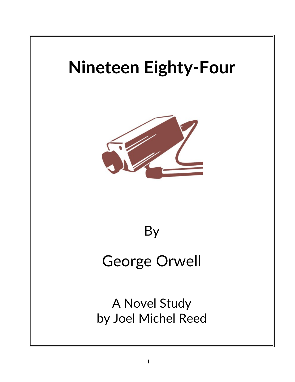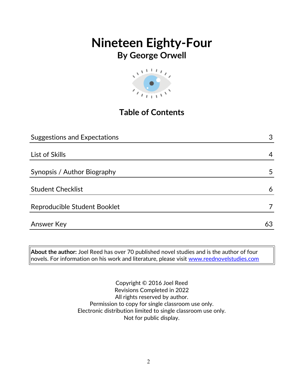# **Nineteen Eighty-Four**



## **Table of Contents**

| <b>Suggestions and Expectations</b> | 3  |
|-------------------------------------|----|
|                                     |    |
| List of Skills                      | 4  |
|                                     |    |
| Synopsis / Author Biography         | 5  |
|                                     |    |
| <b>Student Checklist</b>            | 6  |
|                                     |    |
| Reproducible Student Booklet        | 7  |
|                                     |    |
| <b>Answer Key</b>                   | 63 |
|                                     |    |

**About the author:** Joel Reed has over 70 published novel studies and is the author of four  $\vert$ novels. For information on his work and literature, please visit [www.reednovelstudies.com](http://www.reednovelstudies.com/)

> Copyright © 2016 Joel Reed Revisions Completed in 2022 All rights reserved by author. Permission to copy for single classroom use only. Electronic distribution limited to single classroom use only. Not for public display.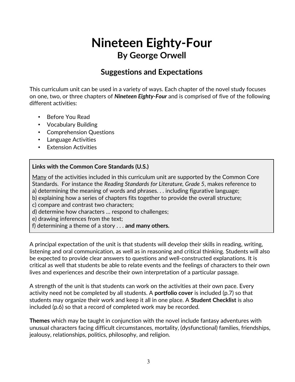### **Suggestions and Expectations**

This curriculum unit can be used in a variety of ways. Each chapter of the novel study focuses on one, two, or three chapters of *Nineteen Eighty-Four* and is comprised of five of the following different activities:

- Before You Read
- Vocabulary Building
- Comprehension Questions
- Language Activities
- Extension Activities

#### **Links with the Common Core Standards (U.S.)**

Many of the activities included in this curriculum unit are supported by the Common Core Standards. For instance the *Reading Standards for Literature, Grade 5*, makes reference to a) determining the meaning of words and phrases. . . including figurative language;

- b) explaining how a series of chapters fits together to provide the overall structure;
- c) compare and contrast two characters;
- d) determine how characters … respond to challenges;
- e) drawing inferences from the text;
- f) determining a theme of a story . . . **and many others.**

A principal expectation of the unit is that students will develop their skills in reading, writing, listening and oral communication, as well as in reasoning and critical thinking. Students will also be expected to provide clear answers to questions and well-constructed explanations. It is critical as well that students be able to relate events and the feelings of characters to their own lives and experiences and describe their own interpretation of a particular passage.

A strength of the unit is that students can work on the activities at their own pace. Every activity need not be completed by all students. A **portfolio cover** is included (p.7) so that students may organize their work and keep it all in one place. A **Student Checklist** is also included (p.6) so that a record of completed work may be recorded.

**Themes** which may be taught in conjunction with the novel include fantasy adventures with unusual characters facing difficult circumstances, mortality, (dysfunctional) families, friendships, jealousy, relationships, politics, philosophy, and religion.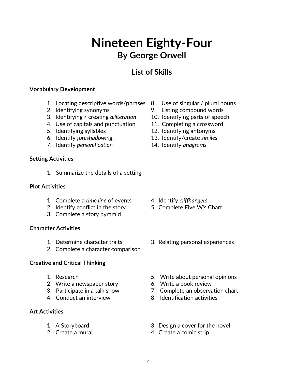### **List of Skills**

#### **Vocabulary Development**

- 1. Locating descriptive words/phrases 8. Use of singular / plural nouns
- 
- 3. Identifying / creating *alliteration* 10. Identifying parts of speech
- 4. Use of capitals and punctuation 11. Completing a crossword
- 
- 
- 7. Identify *personification* 14. Identify *anagrams*

#### **Setting Activities**

1. Summarize the details of a setting

#### **Plot Activities**

- 1. Complete a *time line* of events 4. Identify *cliffhangers*
- 2. Identify conflict in the story 5. Complete Five W's Chart
- 3. Complete a story pyramid

#### **Character Activities**

- 
- 2. Complete a character comparison

#### **Creative and Critical Thinking**

- 
- 2. Write a newspaper story 6. Write a book review
- 
- 

#### **Art Activities**

- 
- 
- 
- 2. Identifying synonyms 9. Listing compound words
	-
	-
- 5. Identifying syllables 12. Identifying antonyms
- 6. Identify *foreshadowing*. 13. Identify/create *similes*
	-

- 
- 
- 1. Determine character traits 3. Relating personal experiences
- 1. Research 5. Write about personal opinions
	-
- 3. Participate in a talk show 7. Complete an observation chart
- 4. Conduct an interview 8. Identification activities
- 1. A Storyboard 3. Design a cover for the novel
- 2. Create a mural 2. Create a comic strip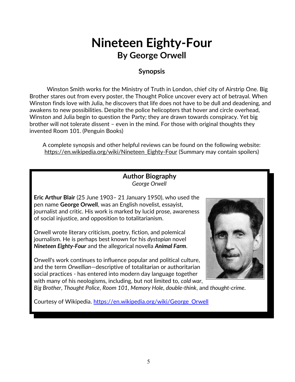#### **Synopsis**

Winston Smith works for the Ministry of Truth in London, chief city of Airstrip One. Big Brother stares out from every poster, the Thought Police uncover every act of betrayal. When Winston finds love with Julia, he discovers that life does not have to be dull and deadening, and awakens to new possibilities. Despite the police helicopters that hover and circle overhead, Winston and Julia begin to question the Party; they are drawn towards conspiracy. Yet big brother will not tolerate dissent – even in the mind. For those with original thoughts they invented Room 101. (Penguin Books)

A complete synopsis and other helpful reviews can be found on the following website: https://en.wikipedia.org/wiki/Nineteen\_Eighty-Four (Summary may contain spoilers)

#### **Author Biography** *George Orwell*

**Eric Arthur Blair** (25 June 1903– 21 January 1950), who used the pen name **George Orwell**, was an English novelist, essayist, journalist and critic. His work is marked by lucid prose, awareness of social injustice, and opposition to totalitarianism.

Orwell wrote literary criticism, poetry, fiction, and polemical journalism. He is perhaps best known for his *dystopian* novel *Nineteen Eighty-Four* and the allegorical novella *Animal Farm*.

Orwell's work continues to influence popular and political culture, and the term *Orwellian*—descriptive of totalitarian or authoritarian social practices - has entered into modern day language together with many of his neologisms, including, but not limited to, *cold war*,



*Big Brother*, *Thought Police*, *Room 101*, *Memory Hole*, *double-think*, and *thought-crime*.

Courtesy of Wikipedia. [https://en.wikipedia.org/wiki/George\\_Orwell](https://en.wikipedia.org/wiki/George_Orwell)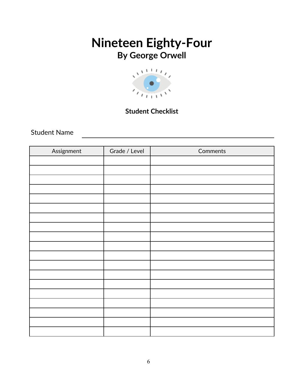

### **Student Checklist**

Student Name

| Assignment | Grade / Level | Comments |
|------------|---------------|----------|
|            |               |          |
|            |               |          |
|            |               |          |
|            |               |          |
|            |               |          |
|            |               |          |
|            |               |          |
|            |               |          |
|            |               |          |
|            |               |          |
|            |               |          |
|            |               |          |
|            |               |          |
|            |               |          |
|            |               |          |
|            |               |          |
|            |               |          |
|            |               |          |
|            |               |          |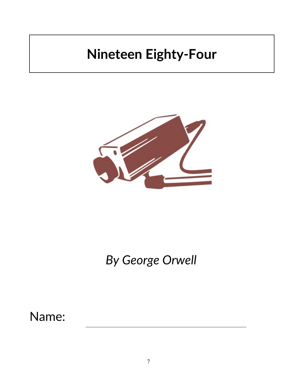# **Nineteen Eighty-Four**



# *By George Orwell*

Name: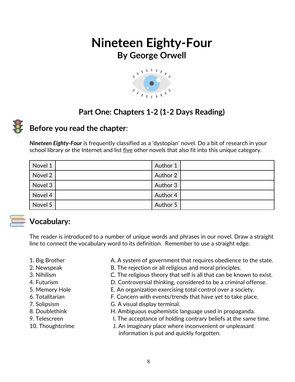

## **Part One: Chapters 1-2 (1-2 Days Reading)**



### **Before you read the chapter**:

*Nineteen Eighty-Four* is frequently classified as a 'dystopian' novel. Do a bit of research in your school library or the Internet and list five other novels that also fit into this unique category.

| Novel 1 | Author 1 |  |
|---------|----------|--|
| Novel 2 | Author 2 |  |
| Novel 3 | Author 3 |  |
| Novel 4 | Author 4 |  |
| Novel 5 | Author 5 |  |



### **Vocabulary:**

The reader is introduced to a number of unique words and phrases in our novel. Draw a straight line to connect the vocabulary word to its definition. Remember to use a straight edge.

- 
- 1. Big Brother **A.** A system of government that requires obedience to the state.
- 2. Newspeak B. The rejection or all religious and moral principles.
- 3. Nihilism C. The religious theory that self is all that can be known to exist.
- 4. Futurism **D. Controversial thinking, considered to be a criminal offense.**
- 5. Memory Hole E. An organization exercising total control over a society.
- 6. Totalitarian F. Concern with events/trends that have yet to take place.
- 7. Solipsism G. A visual display terminal.
- 8. Doublethink **H. Ambiguous euphemistic language used in propaganda.**
- 9. Telescreen **I. The acceptance of holding contrary beliefs at the same time.**
- 10. Thoughtcrime J. An imaginary place where inconvenient or unpleasant information is put and quickly forgotten.
- 
- 
- 
- 
- 
- 
- 
- 
-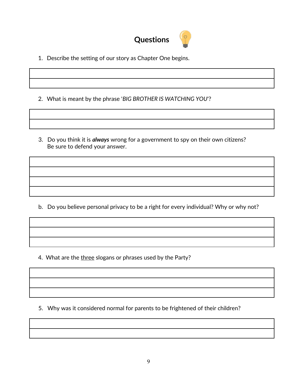

- 1. Describe the setting of our story as Chapter One begins.
- 2. What is meant by the phrase '*BIG BROTHER IS WATCHING YOU*'?
- 3. Do you think it is *always* wrong for a government to spy on their own citizens? Be sure to defend your answer.

b. Do you believe personal privacy to be a right for every individual? Why or why not?

4. What are the three slogans or phrases used by the Party?

5. Why was it considered normal for parents to be frightened of their children?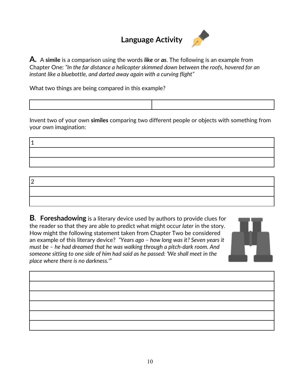## **Language Activity**



**A.** A **simile** is a comparison using the words *like* or *as*. The following is an example from Chapter One: *"In the far distance a helicopter skimmed down between the roofs, hovered for an instant like a bluebottle, and darted away again with a curving flight"* 

What two things are being compared in this example?

1

Invent two of your own **similes** comparing two different people or objects with something from your own imagination:

2

**B. Foreshadowing** is a literary device used by authors to provide clues for the reader so that they are able to predict what might occur *later* in the story. How might the following statement taken from Chapter Two be considered an example of this literary device? *"Years ago – how long was it? Seven years it must be – he had dreamed that he was walking through a pitch-dark room. And someone sitting to one side of him had said as he passed: 'We shall meet in the place where there is no darkness.'"*



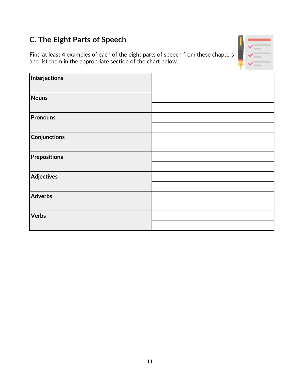# **C. The Eight Parts of Speech**

Find at least  $\underline{4}$  examples of each of the eight parts of speech from these chapters and list them in the appropriate section of the chart below.



| Interjections       |  |
|---------------------|--|
|                     |  |
| Nouns               |  |
|                     |  |
| Pronouns            |  |
|                     |  |
| <b>Conjunctions</b> |  |
|                     |  |
| Prepositions        |  |
|                     |  |
| Adjectives          |  |
|                     |  |
| Adverbs             |  |
|                     |  |
| Verbs               |  |
|                     |  |